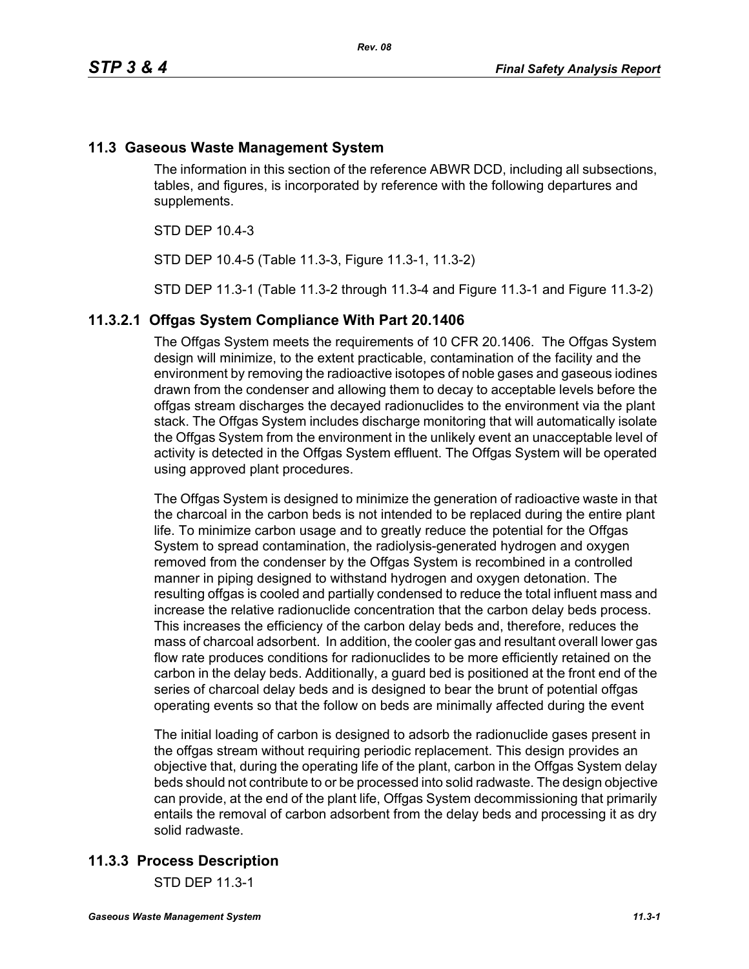# **11.3 Gaseous Waste Management System**

The information in this section of the reference ABWR DCD, including all subsections, tables, and figures, is incorporated by reference with the following departures and supplements.

STD DEP 10.4-3

STD DEP 10.4-5 (Table 11.3-3, Figure 11.3-1, 11.3-2)

STD DEP 11.3-1 (Table 11.3-2 through 11.3-4 and Figure 11.3-1 and Figure 11.3-2)

### **11.3.2.1 Offgas System Compliance With Part 20.1406**

The Offgas System meets the requirements of 10 CFR 20.1406. The Offgas System design will minimize, to the extent practicable, contamination of the facility and the environment by removing the radioactive isotopes of noble gases and gaseous iodines drawn from the condenser and allowing them to decay to acceptable levels before the offgas stream discharges the decayed radionuclides to the environment via the plant stack. The Offgas System includes discharge monitoring that will automatically isolate the Offgas System from the environment in the unlikely event an unacceptable level of activity is detected in the Offgas System effluent. The Offgas System will be operated using approved plant procedures.

The Offgas System is designed to minimize the generation of radioactive waste in that the charcoal in the carbon beds is not intended to be replaced during the entire plant life. To minimize carbon usage and to greatly reduce the potential for the Offgas System to spread contamination, the radiolysis-generated hydrogen and oxygen removed from the condenser by the Offgas System is recombined in a controlled manner in piping designed to withstand hydrogen and oxygen detonation. The resulting offgas is cooled and partially condensed to reduce the total influent mass and increase the relative radionuclide concentration that the carbon delay beds process. This increases the efficiency of the carbon delay beds and, therefore, reduces the mass of charcoal adsorbent. In addition, the cooler gas and resultant overall lower gas flow rate produces conditions for radionuclides to be more efficiently retained on the carbon in the delay beds. Additionally, a guard bed is positioned at the front end of the series of charcoal delay beds and is designed to bear the brunt of potential offgas operating events so that the follow on beds are minimally affected during the event

The initial loading of carbon is designed to adsorb the radionuclide gases present in the offgas stream without requiring periodic replacement. This design provides an objective that, during the operating life of the plant, carbon in the Offgas System delay beds should not contribute to or be processed into solid radwaste. The design objective can provide, at the end of the plant life, Offgas System decommissioning that primarily entails the removal of carbon adsorbent from the delay beds and processing it as dry solid radwaste.

# **11.3.3 Process Description**

STD DEP 11.3-1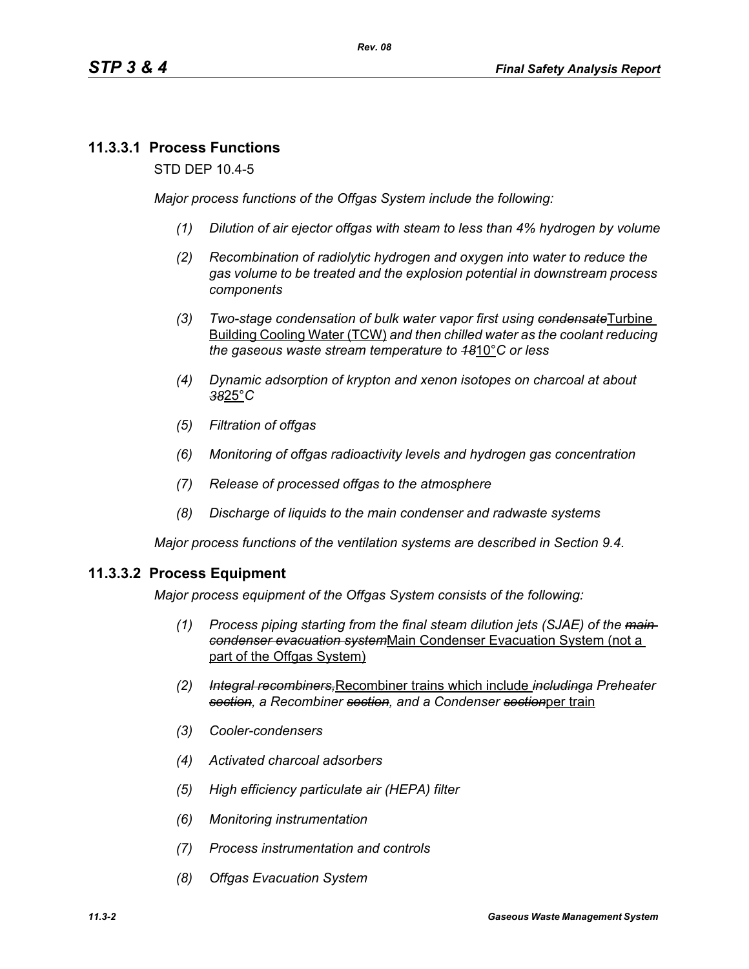# **11.3.3.1 Process Functions**

STD DEP 10.4-5

*Major process functions of the Offgas System include the following:*

- *(1) Dilution of air ejector offgas with steam to less than 4% hydrogen by volume*
- *(2) Recombination of radiolytic hydrogen and oxygen into water to reduce the gas volume to be treated and the explosion potential in downstream process components*
- *(3) Two-stage condensation of bulk water vapor first using condensate*Turbine Building Cooling Water (TCW) *and then chilled water as the coolant reducing the gaseous waste stream temperature to 18*10°*C or less*
- *(4) Dynamic adsorption of krypton and xenon isotopes on charcoal at about 38*25°*C*
- *(5) Filtration of offgas*
- *(6) Monitoring of offgas radioactivity levels and hydrogen gas concentration*
- *(7) Release of processed offgas to the atmosphere*
- *(8) Discharge of liquids to the main condenser and radwaste systems*

*Major process functions of the ventilation systems are described in Section 9.4.*

### **11.3.3.2 Process Equipment**

*Major process equipment of the Offgas System consists of the following:*

- *(1) Process piping starting from the final steam dilution jets (SJAE) of the main condenser evacuation system*Main Condenser Evacuation System (not a part of the Offgas System)
- *(2) Integral recombiners,*Recombiner trains which include *includinga Preheater section, a Recombiner section, and a Condenser section*per train
- *(3) Cooler-condensers*
- *(4) Activated charcoal adsorbers*
- *(5) High efficiency particulate air (HEPA) filter*
- *(6) Monitoring instrumentation*
- *(7) Process instrumentation and controls*
- *(8) Offgas Evacuation System*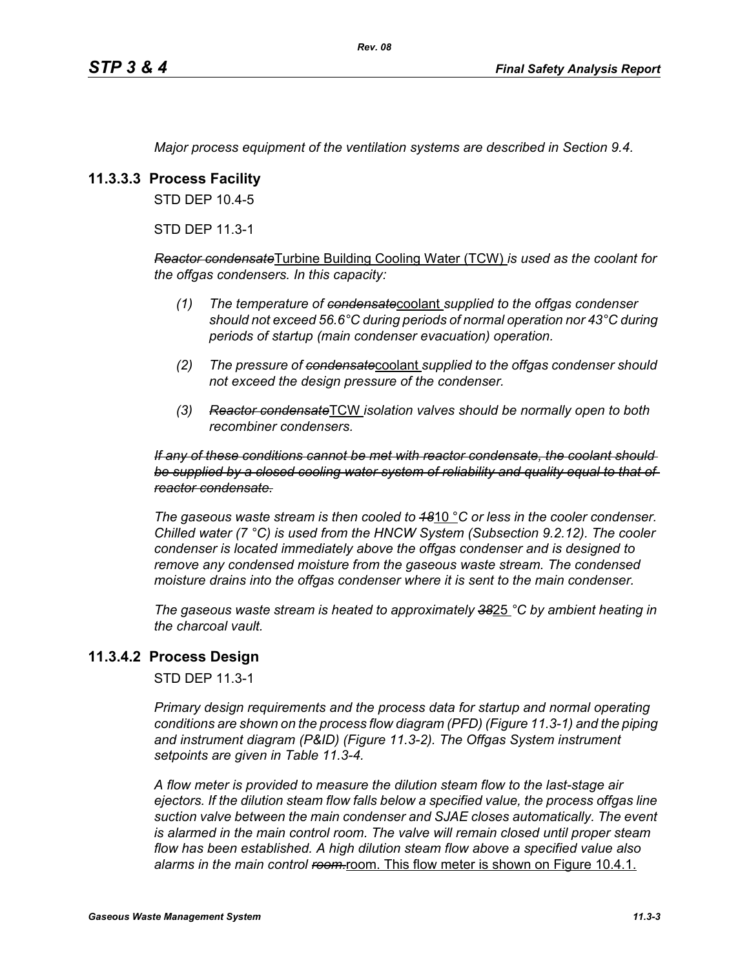*Major process equipment of the ventilation systems are described in Section 9.4.*

# **11.3.3.3 Process Facility**

STD DEP 10.4-5

STD DEP 11.3-1

*Reactor condensate*Turbine Building Cooling Water (TCW) *is used as the coolant for the offgas condensers. In this capacity:*

- *(1) The temperature of condensate*coolant *supplied to the offgas condenser should not exceed 56.6°C during periods of normal operation nor 43°C during periods of startup (main condenser evacuation) operation.*
- *(2) The pressure of condensate*coolant *supplied to the offgas condenser should not exceed the design pressure of the condenser.*
- *(3) Reactor condensate*TCW *isolation valves should be normally open to both recombiner condensers.*

*If any of these conditions cannot be met with reactor condensate, the coolant should be supplied by a closed cooling water system of reliability and quality equal to that of reactor condensate.*

*The gaseous waste stream is then cooled to 18*10 °*C or less in the cooler condenser. Chilled water (7 °C) is used from the HNCW System (Subsection 9.2.12). The cooler condenser is located immediately above the offgas condenser and is designed to remove any condensed moisture from the gaseous waste stream. The condensed moisture drains into the offgas condenser where it is sent to the main condenser.*

*The gaseous waste stream is heated to approximately 38*25 *°C by ambient heating in the charcoal vault.*

### **11.3.4.2 Process Design**

STD DEP 11.3-1

*Primary design requirements and the process data for startup and normal operating conditions are shown on the process flow diagram (PFD) (Figure 11.3-1) and the piping and instrument diagram (P&ID) (Figure 11.3-2). The Offgas System instrument setpoints are given in Table 11.3-4.*

*A flow meter is provided to measure the dilution steam flow to the last-stage air ejectors. If the dilution steam flow falls below a specified value, the process offgas line suction valve between the main condenser and SJAE closes automatically. The event*  is alarmed in the main control room. The valve will remain closed until proper steam *flow has been established. A high dilution steam flow above a specified value also*  alarms in the main control ream-room. This flow meter is shown on Figure 10.4.1.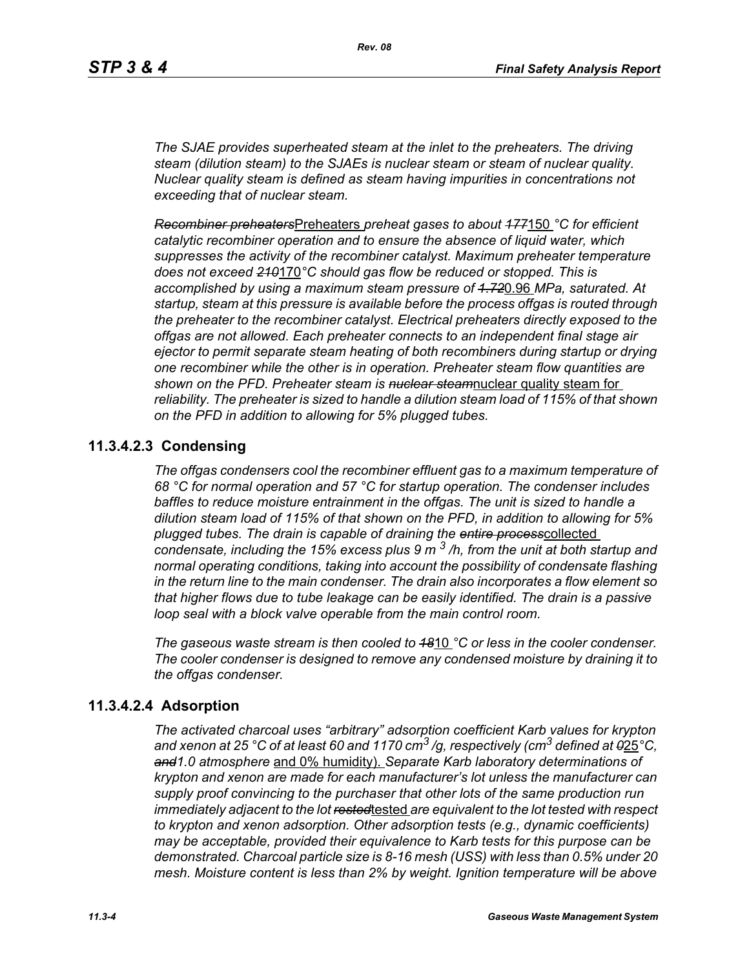*The SJAE provides superheated steam at the inlet to the preheaters. The driving steam (dilution steam) to the SJAEs is nuclear steam or steam of nuclear quality. Nuclear quality steam is defined as steam having impurities in concentrations not exceeding that of nuclear steam.*

*Recombiner preheaters*Preheaters *preheat gases to about 177*150 *°C for efficient catalytic recombiner operation and to ensure the absence of liquid water, which suppresses the activity of the recombiner catalyst. Maximum preheater temperature does not exceed 210*170*°C should gas flow be reduced or stopped. This is accomplished by using a maximum steam pressure of 1.72*0.96 *MPa, saturated. At startup, steam at this pressure is available before the process offgas is routed through the preheater to the recombiner catalyst. Electrical preheaters directly exposed to the offgas are not allowed. Each preheater connects to an independent final stage air ejector to permit separate steam heating of both recombiners during startup or drying one recombiner while the other is in operation. Preheater steam flow quantities are shown on the PFD. Preheater steam is nuclear steam*nuclear quality steam for *reliability. The preheater is sized to handle a dilution steam load of 115% of that shown on the PFD in addition to allowing for 5% plugged tubes.*

# **11.3.4.2.3 Condensing**

*The offgas condensers cool the recombiner effluent gas to a maximum temperature of 68 °C for normal operation and 57 °C for startup operation. The condenser includes baffles to reduce moisture entrainment in the offgas. The unit is sized to handle a dilution steam load of 115% of that shown on the PFD, in addition to allowing for 5% plugged tubes. The drain is capable of draining the entire process*collected *condensate, including the 15% excess plus 9 m 3 /h, from the unit at both startup and normal operating conditions, taking into account the possibility of condensate flashing in the return line to the main condenser. The drain also incorporates a flow element so that higher flows due to tube leakage can be easily identified. The drain is a passive loop seal with a block valve operable from the main control room.* 

*The gaseous waste stream is then cooled to 18*10 *°C or less in the cooler condenser. The cooler condenser is designed to remove any condensed moisture by draining it to the offgas condenser.*

# **11.3.4.2.4 Adsorption**

*The activated charcoal uses "arbitrary" adsorption coefficient Karb values for krypton and xenon at 25 °C of at least 60 and 1170 cm3 /g, respectively (cm3 defined at 0*25*°C, and1.0 atmosphere* and 0% humidity). *Separate Karb laboratory determinations of krypton and xenon are made for each manufacturer's lot unless the manufacturer can supply proof convincing to the purchaser that other lots of the same production run immediately adjacent to the lot rested*tested *are equivalent to the lot tested with respect to krypton and xenon adsorption. Other adsorption tests (e.g., dynamic coefficients) may be acceptable, provided their equivalence to Karb tests for this purpose can be demonstrated. Charcoal particle size is 8-16 mesh (USS) with less than 0.5% under 20 mesh. Moisture content is less than 2% by weight. Ignition temperature will be above*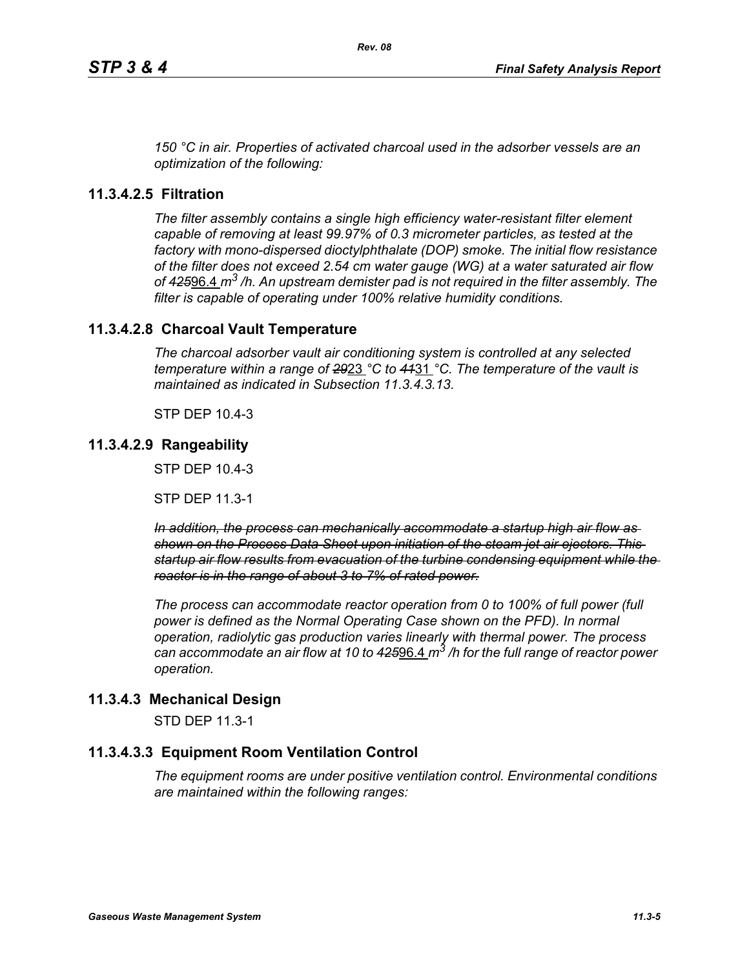*150 °C in air. Properties of activated charcoal used in the adsorber vessels are an optimization of the following:*

# **11.3.4.2.5 Filtration**

*The filter assembly contains a single high efficiency water-resistant filter element capable of removing at least 99.97% of 0.3 micrometer particles, as tested at the factory with mono-dispersed dioctylphthalate (DOP) smoke. The initial flow resistance of the filter does not exceed 2.54 cm water gauge (WG) at a water saturated air flow of 425*96.4 *m3 /h. An upstream demister pad is not required in the filter assembly. The filter is capable of operating under 100% relative humidity conditions.*

# **11.3.4.2.8 Charcoal Vault Temperature**

*The charcoal adsorber vault air conditioning system is controlled at any selected temperature within a range of 29*23 *°C to 41*31 *°C. The temperature of the vault is maintained as indicated in Subsection 11.3.4.3.13.*

STP DEP 10.4-3

# **11.3.4.2.9 Rangeability**

STP DEP 10.4-3

STP DEP 11.3-1

*In addition, the process can mechanically accommodate a startup high air flow as shown on the Process Data Sheet upon initiation of the steam jet air ejectors. This startup air flow results from evacuation of the turbine condensing equipment while the reactor is in the range of about 3 to 7% of rated power.*

*The process can accommodate reactor operation from 0 to 100% of full power (full power is defined as the Normal Operating Case shown on the PFD). In normal operation, radiolytic gas production varies linearly with thermal power. The process can accommodate an air flow at 10 to 425*96.4 *m3 /h for the full range of reactor power operation.*

# **11.3.4.3 Mechanical Design**

STD DEP 11.3-1

# **11.3.4.3.3 Equipment Room Ventilation Control**

*The equipment rooms are under positive ventilation control. Environmental conditions are maintained within the following ranges:*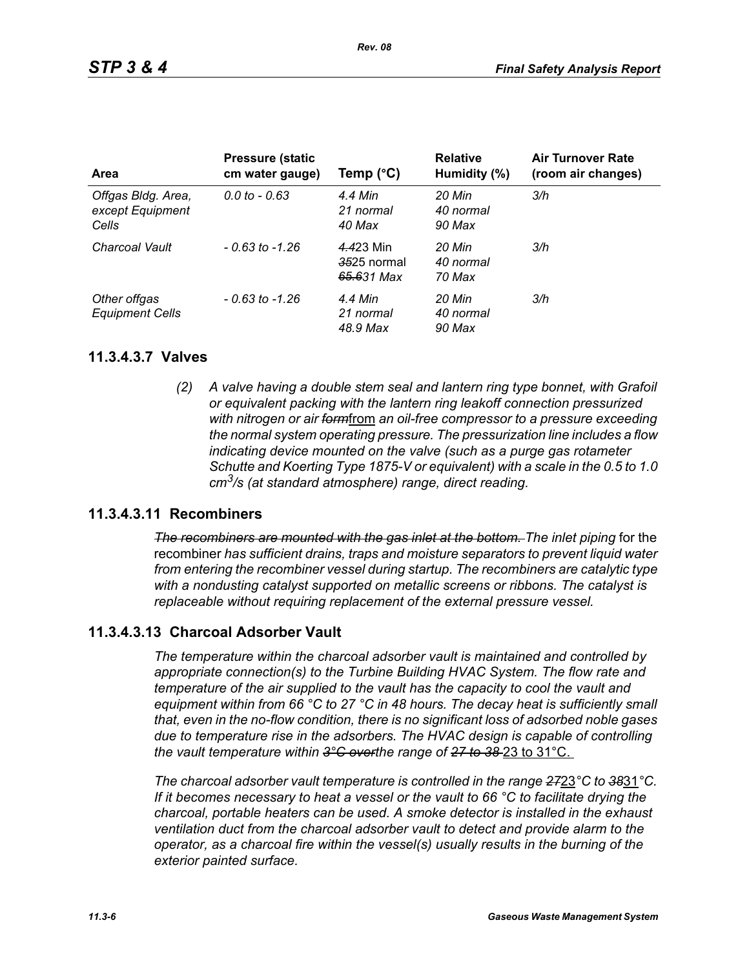| <b>Area</b>                                     | <b>Pressure (static</b><br>cm water gauge) | Temp $(^{\circ}C)$                     | <b>Relative</b><br>Humidity (%) | <b>Air Turnover Rate</b><br>(room air changes) |
|-------------------------------------------------|--------------------------------------------|----------------------------------------|---------------------------------|------------------------------------------------|
| Offgas Bldg. Area,<br>except Equipment<br>Cells | $0.0 \text{ to } -0.63$                    | 4.4 Min<br>21 normal<br>40 Max         | 20 Min<br>40 normal<br>90 Max   | 3/h                                            |
| Charcoal Vault                                  | $-0.63$ to $-1.26$                         | 4.423 Min<br>3525 normal<br>65.631 Max | 20 Min<br>40 normal<br>70 Max   | 3/h                                            |
| Other offgas<br><b>Equipment Cells</b>          | $-0.63$ to $-1.26$                         | 4.4 Min<br>21 normal<br>48.9 Max       | 20 Min<br>40 normal<br>90 Max   | 3/h                                            |

### **11.3.4.3.7 Valves**

*(2) A valve having a double stem seal and lantern ring type bonnet, with Grafoil or equivalent packing with the lantern ring leakoff connection pressurized with nitrogen or air form*from *an oil-free compressor to a pressure exceeding the normal system operating pressure. The pressurization line includes a flow indicating device mounted on the valve (such as a purge gas rotameter Schutte and Koerting Type 1875-V or equivalent) with a scale in the 0.5 to 1.0 cm3/s (at standard atmosphere) range, direct reading.*

### **11.3.4.3.11 Recombiners**

*The recombiners are mounted with the gas inlet at the bottom. The inlet piping for the* recombiner *has sufficient drains, traps and moisture separators to prevent liquid water from entering the recombiner vessel during startup. The recombiners are catalytic type with a nondusting catalyst supported on metallic screens or ribbons. The catalyst is replaceable without requiring replacement of the external pressure vessel.*

# **11.3.4.3.13 Charcoal Adsorber Vault**

*The temperature within the charcoal adsorber vault is maintained and controlled by appropriate connection(s) to the Turbine Building HVAC System. The flow rate and temperature of the air supplied to the vault has the capacity to cool the vault and equipment within from 66 °C to 27 °C in 48 hours. The decay heat is sufficiently small that, even in the no-flow condition, there is no significant loss of adsorbed noble gases due to temperature rise in the adsorbers. The HVAC design is capable of controlling the vault temperature within 3°C overthe range of 27 to 38* 23 to 31°C.

*The charcoal adsorber vault temperature is controlled in the range 27*23*°C to 38*31*°C. If it becomes necessary to heat a vessel or the vault to 66 °C to facilitate drying the charcoal, portable heaters can be used. A smoke detector is installed in the exhaust ventilation duct from the charcoal adsorber vault to detect and provide alarm to the operator, as a charcoal fire within the vessel(s) usually results in the burning of the exterior painted surface.*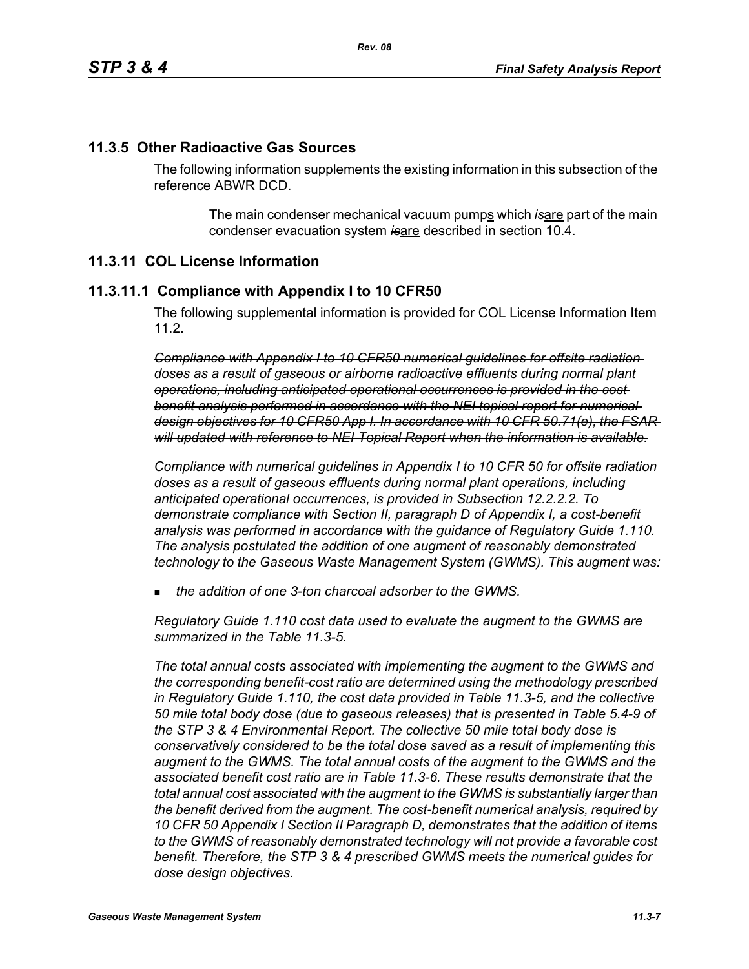# **11.3.5 Other Radioactive Gas Sources**

The following information supplements the existing information in this subsection of the reference ABWR DCD.

> The main condenser mechanical vacuum pumps which is are part of the main condenser evacuation system *is*are described in section 10.4.

# **11.3.11 COL License Information**

### **11.3.11.1 Compliance with Appendix I to 10 CFR50**

The following supplemental information is provided for COL License Information Item 11.2.

*Compliance with Appendix I to 10 CFR50 numerical guidelines for offsite radiation doses as a result of gaseous or airborne radioactive effluents during normal plant operations, including anticipated operational occurrences is provided in the cost benefit analysis performed in accordance with the NEI topical report for numerical design objectives for 10 CFR50 App I. In accordance with 10 CFR 50.71(e), the FSAR will updated with reference to NEI Topical Report when the information is available.*

*Compliance with numerical guidelines in Appendix I to 10 CFR 50 for offsite radiation doses as a result of gaseous effluents during normal plant operations, including anticipated operational occurrences, is provided in Subsection 12.2.2.2. To demonstrate compliance with Section II, paragraph D of Appendix I, a cost-benefit analysis was performed in accordance with the guidance of Regulatory Guide 1.110. The analysis postulated the addition of one augment of reasonably demonstrated technology to the Gaseous Waste Management System (GWMS). This augment was:*

*the addition of one 3-ton charcoal adsorber to the GWMS.*

*Regulatory Guide 1.110 cost data used to evaluate the augment to the GWMS are summarized in the Table 11.3-5.* 

*The total annual costs associated with implementing the augment to the GWMS and the corresponding benefit-cost ratio are determined using the methodology prescribed in Regulatory Guide 1.110, the cost data provided in Table 11.3-5, and the collective 50 mile total body dose (due to gaseous releases) that is presented in Table 5.4-9 of the STP 3 & 4 Environmental Report. The collective 50 mile total body dose is conservatively considered to be the total dose saved as a result of implementing this augment to the GWMS. The total annual costs of the augment to the GWMS and the associated benefit cost ratio are in Table 11.3-6. These results demonstrate that the total annual cost associated with the augment to the GWMS is substantially larger than the benefit derived from the augment. The cost-benefit numerical analysis, required by 10 CFR 50 Appendix I Section II Paragraph D, demonstrates that the addition of items to the GWMS of reasonably demonstrated technology will not provide a favorable cost benefit. Therefore, the STP 3 & 4 prescribed GWMS meets the numerical guides for dose design objectives.*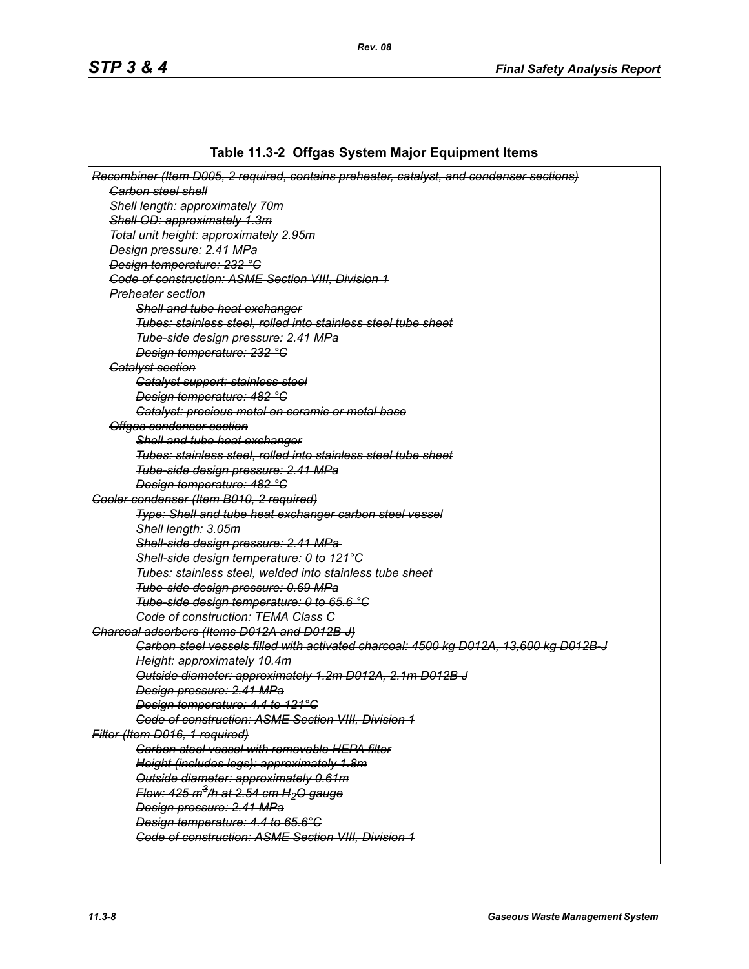# **Table 11.3-2 Offgas System Major Equipment Items**

| Recombiner (Item D005, 2 required, contains preheater, catalyst, and condenser sections) |
|------------------------------------------------------------------------------------------|
| <b>Garbon steel shell</b>                                                                |
| Shell length: approximately 70m                                                          |
| Shell OD: approximately 1.3m                                                             |
| Total unit height: approximately 2.95m                                                   |
| Design pressure: 2.41 MPa                                                                |
| Design temperature: 232 °C                                                               |
| <b>Code of construction: ASME Section VIII, Division 1</b>                               |
| <del>Preheater section</del>                                                             |
| Shell and tube heat exchanger                                                            |
| Tubes: stainless steel, rolled into stainless steel tube sheet                           |
| Tube-side design pressure: 2.41 MPa                                                      |
| Design temperature: 232 °C                                                               |
| <b>Gatalyst section</b>                                                                  |
| Catalyst support: stainless steel                                                        |
| Design temperature: 482 °C                                                               |
| Catalyst: precious metal on ceramic or metal base                                        |
| Offgas condenser section                                                                 |
| Shell and tube heat exchanger                                                            |
| Tubes: stainless steel, rolled into stainless steel tube sheet                           |
| Tube-side design pressure: 2.41 MPa                                                      |
| Design temperature: 482 °C                                                               |
| Cooler condenser (Item B010, 2 required)                                                 |
| Type: Shell and tube heat exchanger carbon steel vessel                                  |
| Shell length: 3.05m                                                                      |
| Shell-side design pressure: 2.41 MPa-                                                    |
| Shell-side design temperature: 0 to 121°C                                                |
| Tubes: stainless steel, welded into stainless tube sheet                                 |
| Tube-side design pressure: 0.69 MPa                                                      |
| Tube-side design temperature: 0 to 65.6 °C                                               |
| <b>Code of construction: TEMA Class C</b>                                                |
| Charcoal adsorbers (Items D012A and D012B-J)                                             |
| Carbon steel vessels filled with activated charcoal: 4500 kg D012A, 13,600 kg D012B-J    |
| Height: approximately 10.4m                                                              |
| Outside diameter: approximately 1.2m D012A, 2.1m D012B-J                                 |
| Design pressure: 2.41 MPa                                                                |
| Design temperature: 4.4 to 121°C                                                         |
| <b>Code of construction: ASME Section VIII, Division 1</b>                               |
| Filter (Item D016, 1 required)                                                           |
| <b>Carbon steel vessel with removable HEPA filter</b>                                    |
| Height (includes legs): approximately 1.8m                                               |
| Outside diameter: approximately 0.61m                                                    |
| Flow: $425 \text{ m}^3$ /h at $2.54 \text{ cm}$ H <sub>2</sub> O gauge                   |
| Design pressure: 2.41 MPa                                                                |
| Design temperature: 4.4 to 65.6°C                                                        |
| Code of construction: ASME Section VIII, Division 1                                      |
|                                                                                          |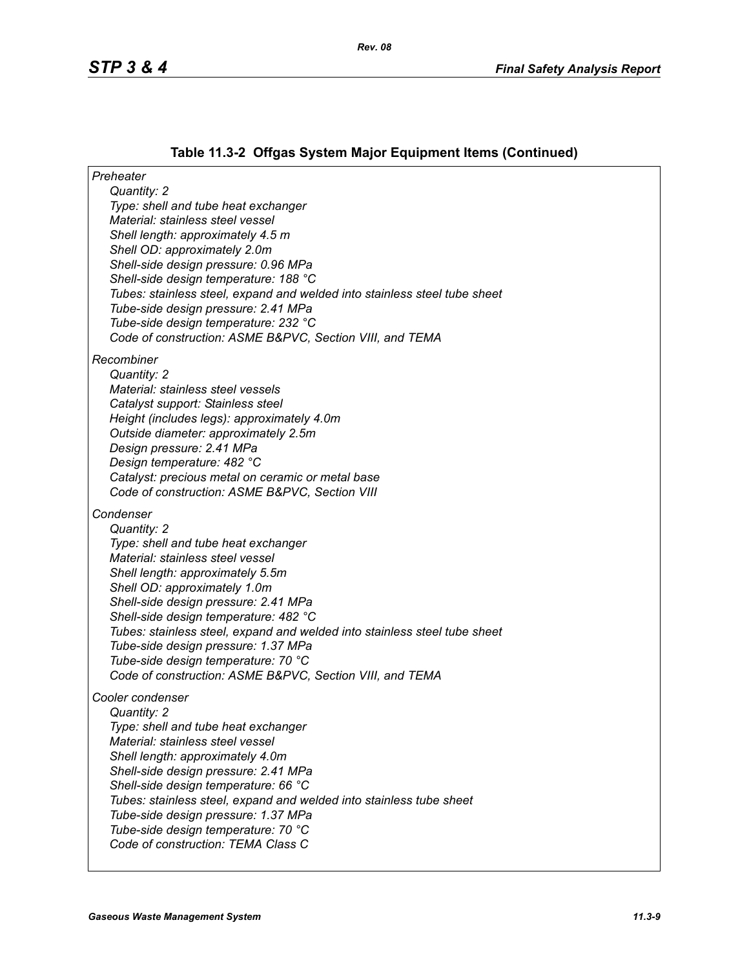# **Table 11.3-2 Offgas System Major Equipment Items (Continued)**

| Preheater                                                                                       |
|-------------------------------------------------------------------------------------------------|
| Quantity: 2                                                                                     |
| Type: shell and tube heat exchanger<br>Material: stainless steel vessel                         |
| Shell length: approximately 4.5 m                                                               |
| Shell OD: approximately 2.0m                                                                    |
| Shell-side design pressure: 0.96 MPa                                                            |
| Shell-side design temperature: 188 °C                                                           |
| Tubes: stainless steel, expand and welded into stainless steel tube sheet                       |
| Tube-side design pressure: 2.41 MPa                                                             |
| Tube-side design temperature: 232 °C                                                            |
| Code of construction: ASME B&PVC, Section VIII, and TEMA                                        |
| Recombiner                                                                                      |
| Quantity: 2                                                                                     |
| Material: stainless steel vessels                                                               |
| Catalyst support: Stainless steel                                                               |
| Height (includes legs): approximately 4.0m                                                      |
| Outside diameter: approximately 2.5m                                                            |
| Design pressure: 2.41 MPa<br>Design temperature: 482 °C                                         |
| Catalyst: precious metal on ceramic or metal base                                               |
| Code of construction: ASME B&PVC, Section VIII                                                  |
| Condenser                                                                                       |
| Quantity: 2                                                                                     |
| Type: shell and tube heat exchanger                                                             |
| Material: stainless steel vessel                                                                |
| Shell length: approximately 5.5m                                                                |
| Shell OD: approximately 1.0m                                                                    |
| Shell-side design pressure: 2.41 MPa                                                            |
| Shell-side design temperature: 482 °C                                                           |
| Tubes: stainless steel, expand and welded into stainless steel tube sheet                       |
| Tube-side design pressure: 1.37 MPa                                                             |
| Tube-side design temperature: 70 °C<br>Code of construction: ASME B&PVC, Section VIII, and TEMA |
|                                                                                                 |
| Cooler condenser                                                                                |
| Quantity: 2                                                                                     |
| Type: shell and tube heat exchanger<br>Material: stainless steel vessel                         |
| Shell length: approximately 4.0m                                                                |
| Shell-side design pressure: 2.41 MPa                                                            |
| Shell-side design temperature: 66 °C                                                            |
| Tubes: stainless steel, expand and welded into stainless tube sheet                             |
| Tube-side design pressure: 1.37 MPa                                                             |
| Tube-side design temperature: 70 °C                                                             |
| Code of construction: TEMA Class C                                                              |
|                                                                                                 |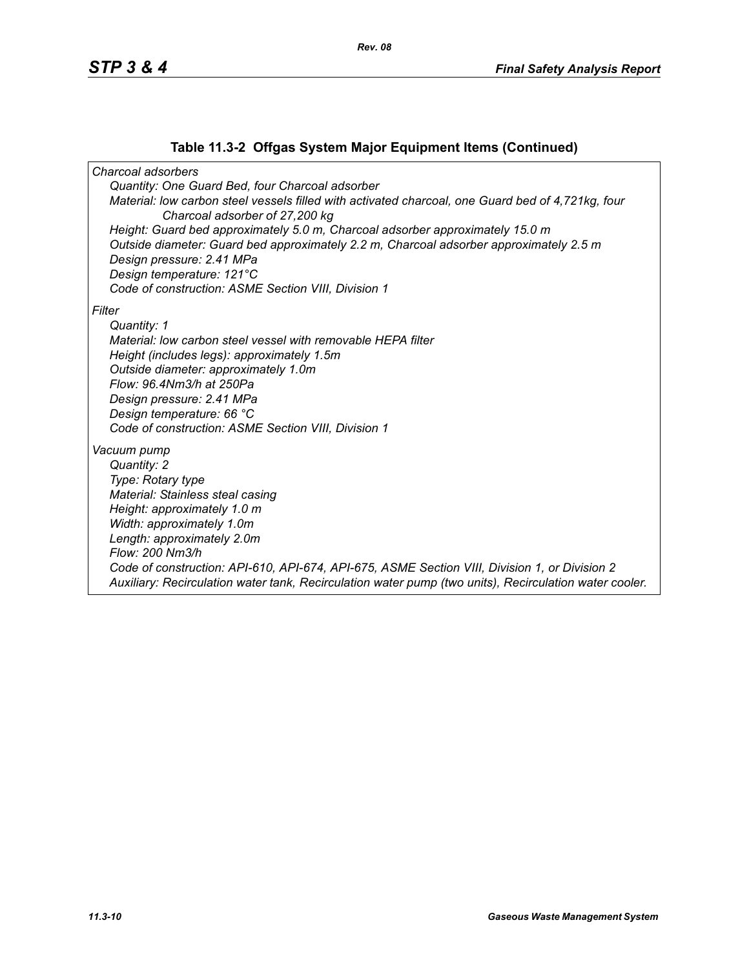# **Table 11.3-2 Offgas System Major Equipment Items (Continued)**

*Charcoal adsorbers Quantity: One Guard Bed, four Charcoal adsorber Material: low carbon steel vessels filled with activated charcoal, one Guard bed of 4,721kg, four Charcoal adsorber of 27,200 kg Height: Guard bed approximately 5.0 m, Charcoal adsorber approximately 15.0 m Outside diameter: Guard bed approximately 2.2 m, Charcoal adsorber approximately 2.5 m Design pressure: 2.41 MPa Design temperature: 121°C Code of construction: ASME Section VIII, Division 1 Filter Quantity: 1 Material: low carbon steel vessel with removable HEPA filter Height (includes legs): approximately 1.5m Outside diameter: approximately 1.0m Flow: 96.4Nm3/h at 250Pa Design pressure: 2.41 MPa Design temperature: 66 °C Code of construction: ASME Section VIII, Division 1 Vacuum pump Quantity: 2 Type: Rotary type Material: Stainless steal casing Height: approximately 1.0 m Width: approximately 1.0m Length: approximately 2.0m Flow: 200 Nm3/h Code of construction: API-610, API-674, API-675, ASME Section VIII, Division 1, or Division 2 Auxiliary: Recirculation water tank, Recirculation water pump (two units), Recirculation water cooler.*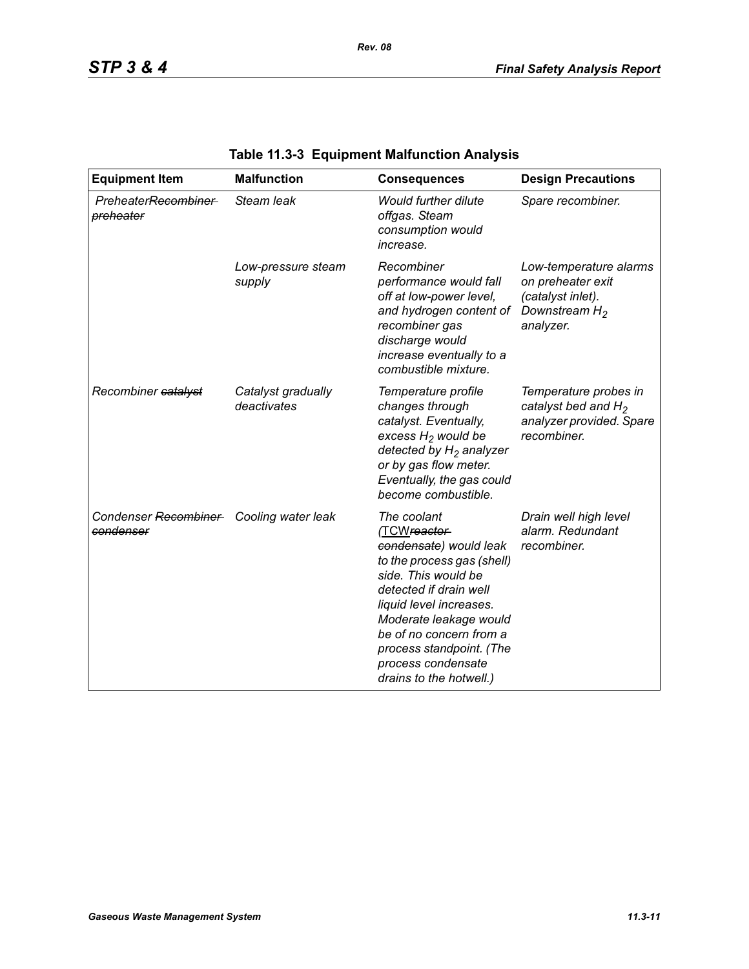| <b>Equipment Item</b>                                | <b>Malfunction</b>                | <b>Consequences</b>                                                                                                                                                                                                                                                                               | <b>Design Precautions</b>                                                                         |
|------------------------------------------------------|-----------------------------------|---------------------------------------------------------------------------------------------------------------------------------------------------------------------------------------------------------------------------------------------------------------------------------------------------|---------------------------------------------------------------------------------------------------|
| PreheaterRecombiner<br>preheater                     | Steam leak                        | <b>Would further dilute</b><br>offgas. Steam<br>consumption would<br>increase.                                                                                                                                                                                                                    | Spare recombiner.                                                                                 |
|                                                      | Low-pressure steam<br>supply      | Recombiner<br>performance would fall<br>off at low-power level,<br>and hydrogen content of<br>recombiner gas<br>discharge would<br>increase eventually to a<br>combustible mixture.                                                                                                               | Low-temperature alarms<br>on preheater exit<br>(catalyst inlet).<br>Downstream $H_2$<br>analyzer. |
| Recombiner catalyst                                  | Catalyst gradually<br>deactivates | Temperature profile<br>changes through<br>catalyst. Eventually,<br>excess $H_2$ would be<br>detected by $H_2$ analyzer<br>or by gas flow meter.<br>Eventually, the gas could<br>become combustible.                                                                                               | Temperature probes in<br>catalyst bed and $H_2$<br>analyzer provided. Spare<br>recombiner.        |
| Condenser Recombiner Cooling water leak<br>condenser |                                   | The coolant<br>(TCWreactor-<br>condensate) would leak<br>to the process gas (shell)<br>side. This would be<br>detected if drain well<br>liquid level increases.<br>Moderate leakage would<br>be of no concern from a<br>process standpoint. (The<br>process condensate<br>drains to the hotwell.) | Drain well high level<br>alarm. Redundant<br>recombiner.                                          |

# **Table 11.3-3 Equipment Malfunction Analysis**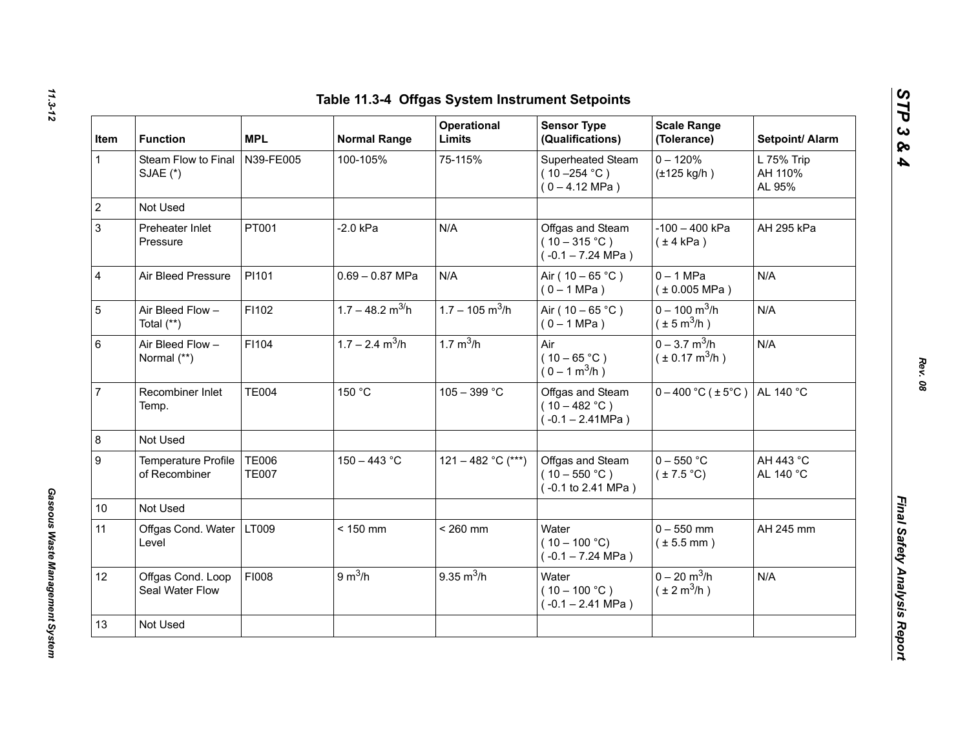| Item           | <b>Function</b>                      | <b>MPL</b>                   | <b>Normal Range</b>            | Operational<br><b>Limits</b>  | <b>Sensor Type</b><br>(Qualifications)                           | <b>Scale Range</b><br>(Tolerance)                              | Setpoint/ Alarm                 |
|----------------|--------------------------------------|------------------------------|--------------------------------|-------------------------------|------------------------------------------------------------------|----------------------------------------------------------------|---------------------------------|
| $\mathbf{1}$   | Steam Flow to Final<br>SJAE (*)      | N39-FE005                    | 100-105%                       | 75-115%                       | Superheated Steam<br>$(10 - 254 °C)$<br>$(0 - 4.12 \text{ MPa})$ | $0 - 120%$<br>$(\pm 125$ kg/h)                                 | L 75% Trip<br>AH 110%<br>AL 95% |
|                | Not Used                             |                              |                                |                               |                                                                  |                                                                |                                 |
|                | Preheater Inlet<br>Pressure          | PT001                        | $-2.0$ kPa                     | N/A                           | Offgas and Steam<br>$(10-315 °C)$<br>$(-0.1 - 7.24 \text{ MPa})$ | $-100 - 400$ kPa<br>$(\pm 4$ kPa)                              | AH 295 kPa                      |
| $\overline{4}$ | Air Bleed Pressure                   | PI101                        | $0.69 - 0.87$ MPa              | N/A                           | Air ( $10 - 65$ °C)<br>$(0 - 1 MPa)$                             | $0 - 1$ MPa<br>$(*0.005 MPa)$                                  | N/A                             |
|                | Air Bleed Flow -<br>Total (**)       | F1102                        | $1.7 - 48.2$ m <sup>3/</sup> h | $1.7 - 105$ m <sup>3</sup> /h | Air ( $10 - 65$ °C)<br>$(0 - 1 MPa)$                             | $0 - 100$ m <sup>3</sup> /h<br>$(\pm 5 \,\text{m}^3/\text{h})$ | N/A                             |
| $\,6\,$        | Air Bleed Flow -<br>Normal (**)      | F1104                        | $1.7 - 2.4$ m <sup>3</sup> /h  | 1.7 $m^3/h$                   | Air<br>$(10 - 65 °C)$<br>$(0 - 1 m^3/h)$                         | $0 - 3.7$ m <sup>3</sup> /h<br>$(\pm 0.17 \text{ m}^3/h)$      | N/A                             |
|                | Recombiner Inlet<br>Temp.            | <b>TE004</b>                 | 150 °C                         | $105 - 399 °C$                | Offgas and Steam<br>$(10 - 482 °C)$<br>$(-0.1 - 2.41 MPa)$       | $0 - 400$ °C ( $\pm 5$ °C)                                     | AL 140 °C                       |
|                | Not Used                             |                              |                                |                               |                                                                  |                                                                |                                 |
|                | Temperature Profile<br>of Recombiner | <b>TE006</b><br><b>TE007</b> | $150 - 443$ °C                 | 121 - 482 °C (***)            | Offgas and Steam<br>$(10 - 550 °C)$<br>(-0.1 to 2.41 MPa)        | $0 - 550$ °C<br>$(\pm 7.5^{\circ}C)$                           | AH 443 °C<br>AL 140 °C          |
| 10             | Not Used                             |                              |                                |                               |                                                                  |                                                                |                                 |
| 11             | Offgas Cond. Water<br>Level          | LT009                        | $< 150$ mm                     | $< 260$ mm                    | Water<br>$(10 - 100 °C)$<br>$(-0.1 - 7.24 \text{ MPa})$          | $0 - 550$ mm<br>$(\pm 5.5$ mm)                                 | AH 245 mm                       |
| 12             | Offgas Cond. Loop<br>Seal Water Flow | FI008                        | 9 m <sup>3</sup> /h            | $9.35 \text{ m}^3/h$          | Water<br>$(10 - 100 °C)$<br>$(-0.1 - 2.41$ MPa)                  | $0 - 20$ m <sup>3</sup> /h<br>$(\pm 2 \text{ m}^3/\text{h})$   | N/A                             |
| 13             | Not Used                             |                              |                                |                               |                                                                  |                                                                |                                 |

*Gaseous Waste Management System* 

Gaseous Waste Management System

*STP 3 & 4*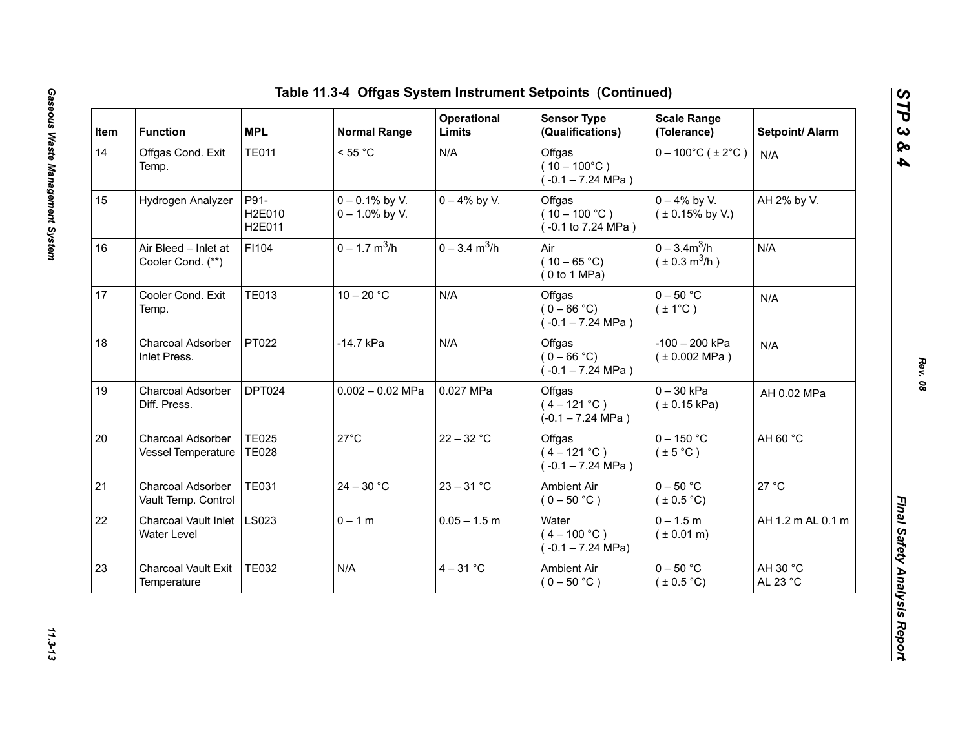| Item | <b>Function</b>                            | <b>MPL</b>                   | <b>Normal Range</b>                    | Operational<br>Limits       | <b>Sensor Type</b><br>(Qualifications)                  | <b>Scale Range</b><br>(Tolerance)           | Setpoint/ Alarm      |
|------|--------------------------------------------|------------------------------|----------------------------------------|-----------------------------|---------------------------------------------------------|---------------------------------------------|----------------------|
| 14   | Offgas Cond. Exit<br>Temp.                 | <b>TE011</b>                 | < 55 °C                                | N/A                         | Offgas<br>$(10 - 100^{\circ}C)$<br>$(-0.1 - 7.24$ MPa)  | $0 - 100^{\circ}$ C (±2°C)                  | N/A                  |
| 15   | Hydrogen Analyzer                          | P91-<br>H2E010<br>H2E011     | $0 - 0.1\%$ by V.<br>$0 - 1.0\%$ by V. | $0 - 4\%$ by V.             | Offgas<br>$(10 - 100 °C)$<br>(-0.1 to 7.24 MPa)         | $0 - 4\%$ by V.<br>$(± 0.15\%$ by V.)       | AH 2% by V.          |
| 16   | Air Bleed - Inlet at<br>Cooler Cond. (**)  | F1104                        | $0 - 1.7$ m <sup>3</sup> /h            | $0 - 3.4$ m <sup>3</sup> /h | Air<br>$(10 - 65 °C)$<br>(0 to 1 MPa)                   | $0 - 3.4m^3/h$<br>$(\pm 0.3 \text{ m}^3/h)$ | N/A                  |
| 17   | Cooler Cond. Exit<br>Temp.                 | <b>TE013</b>                 | $10 - 20 °C$                           | N/A                         | Offgas<br>$(0 - 66 °C)$<br>$(-0.1 - 7.24 \text{ MPa})$  | $0 - 50$ °C<br>$(\pm 1^{\circ}C)$           | N/A                  |
| 18   | Charcoal Adsorber<br>Inlet Press.          | PT022                        | -14.7 kPa                              | N/A                         | Offgas<br>$(0 - 66 °C)$<br>$(-0.1 - 7.24 \text{ MPa})$  | $-100 - 200$ kPa<br>(± 0.002 MPa)           | N/A                  |
| 19   | Charcoal Adsorber<br>Diff. Press.          | DPT024                       | $0.002 - 0.02$ MPa                     | 0.027 MPa                   | Offgas<br>$(4 - 121 °C)$<br>$(-0.1 - 7.24 \text{ MPa})$ | $0 - 30$ kPa<br>(± 0.15 kPa)                | AH 0.02 MPa          |
| 20   | Charcoal Adsorber<br>Vessel Temperature    | <b>TE025</b><br><b>TE028</b> | $27^{\circ}$ C                         | $22 - 32 °C$                | Offgas<br>$(4 - 121 °C)$<br>$(-0.1 - 7.24$ MPa)         | $0 - 150$ °C<br>$(\pm 5^{\circ}C)$          | AH 60 °C             |
| 21   | Charcoal Adsorber<br>Vault Temp. Control   | <b>TE031</b>                 | $24 - 30 °C$                           | $23 - 31 °C$                | Ambient Air<br>$(0 - 50 °C)$                            | $0 - 50$ °C<br>$(\pm 0.5^{\circ}C)$         | 27 °C                |
| 22   | <b>Charcoal Vault Inlet</b><br>Water Level | <b>LS023</b>                 | $0 - 1 m$                              | $0.05 - 1.5$ m              | Water<br>$(4 - 100 °C)$<br>$(-0.1 - 7.24 \text{ MPa})$  | $0 - 1.5 m$<br>$(* 0.01 m)$                 | AH 1.2 m AL 0.1 m    |
| 23   | <b>Charcoal Vault Exit</b><br>Temperature  | <b>TE032</b>                 | N/A                                    | $4 - 31$ °C                 | Ambient Air<br>$(0 - 50 °C)$                            | $0 - 50$ °C<br>$(\pm 0.5^{\circ}C)$         | AH 30 °C<br>AL 23 °C |

*STP 3 & 4*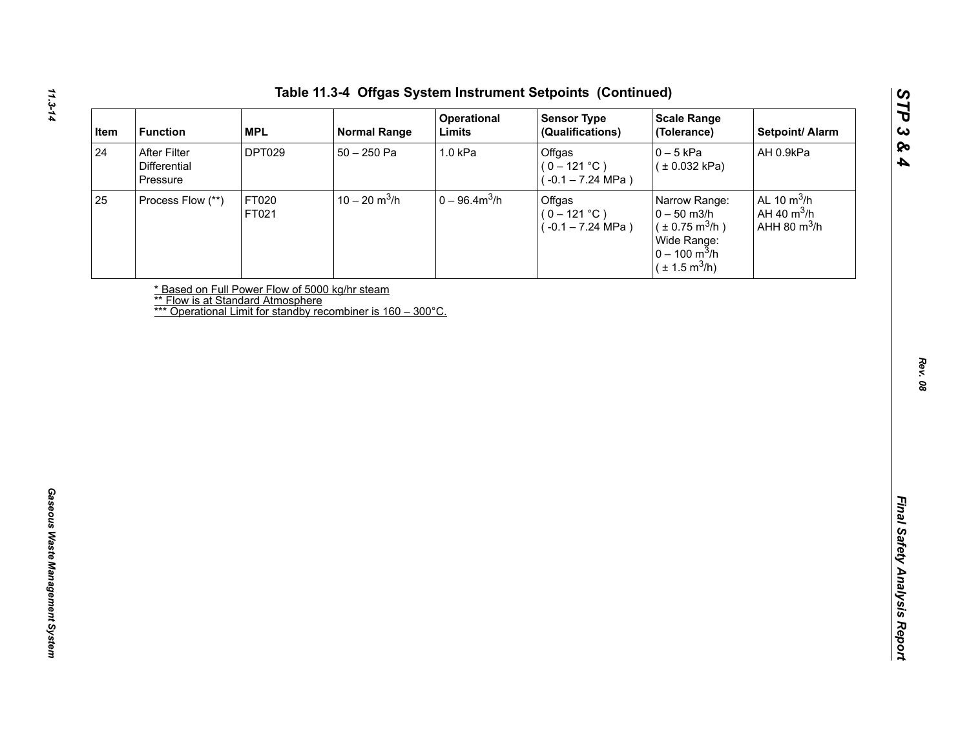| Item | <b>Function</b>                          | <b>MPL</b>     | <b>Normal Range</b>                                                                               | Operational<br>Limits | <b>Sensor Type</b><br>(Qualifications)                  | <b>Scale Range</b><br>(Tolerance)                                                                                                      | Setpoint/ Alarm                                  |
|------|------------------------------------------|----------------|---------------------------------------------------------------------------------------------------|-----------------------|---------------------------------------------------------|----------------------------------------------------------------------------------------------------------------------------------------|--------------------------------------------------|
| 24   | After Filter<br>Differential<br>Pressure | <b>DPT029</b>  | $50 - 250$ Pa                                                                                     | 1.0 kPa               | Offgas<br>$(0 - 121 °C)$<br>$(-0.1 - 7.24 \text{ MPa})$ | $0 - 5$ kPa<br>(± 0.032 kPa)                                                                                                           | AH 0.9kPa                                        |
| 25   | Process Flow (**)                        | FT020<br>FT021 | $10 - 20$ m <sup>3</sup> /h                                                                       | $0 - 96.4 m3/h$       | Offgas<br>$(0 - 121 °C)$<br>$(-0.1 - 7.24 \text{ MPa})$ | Narrow Range:<br>$0 - 50$ m $3/h$<br>$(\pm 0.75 \text{ m}^3/h)$<br>Wide Range:<br>$0 - 100 \text{ m}^3/h$<br>$(\pm 1.5 \text{ m}^3/h)$ | AL 10 $m^3/h$<br>AH 40 $m^3/h$<br>AHH 80 $m^3/h$ |
|      |                                          |                | * Based on Full Power Flow of 5000 kg/hr steam                                                    |                       |                                                         |                                                                                                                                        |                                                  |
|      |                                          |                | ** Flow is at Standard Atmosphere<br>*** Operational Limit for standby recombiner is 160 – 300°C. |                       |                                                         |                                                                                                                                        |                                                  |
|      |                                          |                |                                                                                                   |                       |                                                         |                                                                                                                                        |                                                  |
|      |                                          |                |                                                                                                   |                       |                                                         |                                                                                                                                        |                                                  |
|      |                                          |                |                                                                                                   |                       |                                                         |                                                                                                                                        |                                                  |
|      |                                          |                |                                                                                                   |                       |                                                         |                                                                                                                                        |                                                  |
|      |                                          |                |                                                                                                   |                       |                                                         |                                                                                                                                        |                                                  |
|      |                                          |                |                                                                                                   |                       |                                                         |                                                                                                                                        |                                                  |
|      |                                          |                |                                                                                                   |                       |                                                         |                                                                                                                                        |                                                  |
|      |                                          |                |                                                                                                   |                       |                                                         |                                                                                                                                        |                                                  |
|      |                                          |                |                                                                                                   |                       |                                                         |                                                                                                                                        |                                                  |
|      |                                          |                |                                                                                                   |                       |                                                         |                                                                                                                                        |                                                  |
|      |                                          |                |                                                                                                   |                       |                                                         |                                                                                                                                        |                                                  |
|      |                                          |                |                                                                                                   |                       |                                                         |                                                                                                                                        |                                                  |
|      |                                          |                |                                                                                                   |                       |                                                         |                                                                                                                                        |                                                  |
|      |                                          |                |                                                                                                   |                       |                                                         |                                                                                                                                        |                                                  |
|      |                                          |                |                                                                                                   |                       |                                                         |                                                                                                                                        |                                                  |
|      |                                          |                |                                                                                                   |                       |                                                         |                                                                                                                                        |                                                  |
|      |                                          |                |                                                                                                   |                       |                                                         |                                                                                                                                        |                                                  |
|      |                                          |                |                                                                                                   |                       |                                                         |                                                                                                                                        |                                                  |
|      |                                          |                |                                                                                                   |                       |                                                         |                                                                                                                                        |                                                  |
|      |                                          |                |                                                                                                   |                       |                                                         |                                                                                                                                        |                                                  |
|      |                                          |                |                                                                                                   |                       |                                                         |                                                                                                                                        |                                                  |

*STP 3 & 4*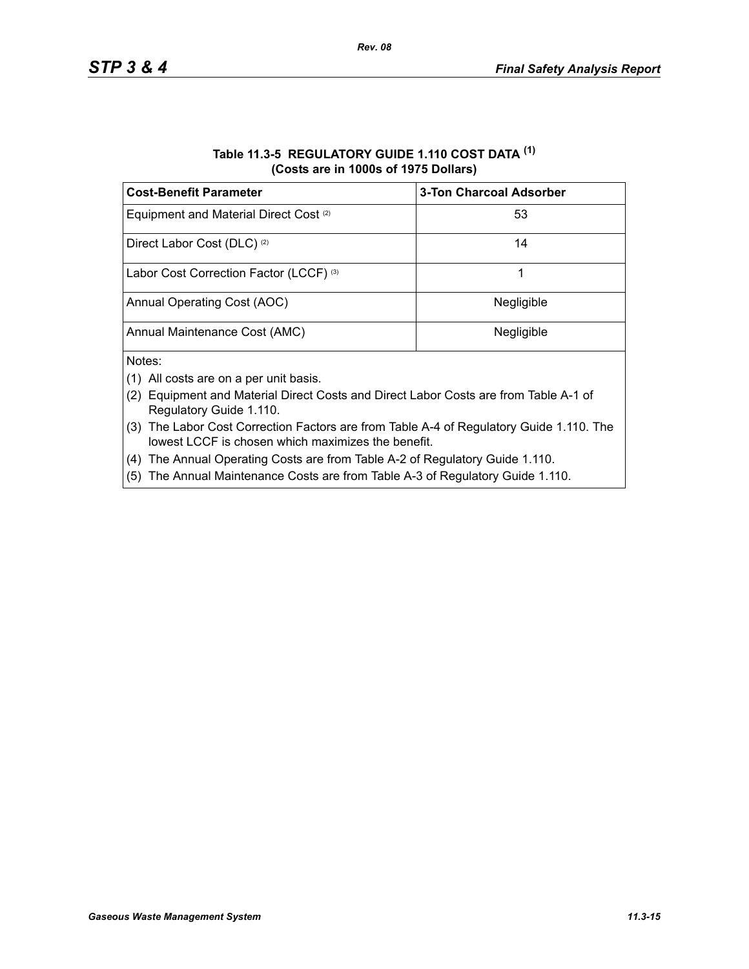#### **Table 11.3-5 REGULATORY GUIDE 1.110 COST DATA (1) (Costs are in 1000s of 1975 Dollars)**

| <b>Cost-Benefit Parameter</b>                     | <b>3-Ton Charcoal Adsorber</b> |
|---------------------------------------------------|--------------------------------|
| Equipment and Material Direct Cost <sup>(2)</sup> | 53                             |
| Direct Labor Cost (DLC) <sup>(2)</sup>            | 14                             |
| Labor Cost Correction Factor (LCCF) (3)           |                                |
| Annual Operating Cost (AOC)                       | Negligible                     |
| Annual Maintenance Cost (AMC)                     | Negligible                     |
| Notes:                                            |                                |

- (1) All costs are on a per unit basis.
- (2) Equipment and Material Direct Costs and Direct Labor Costs are from Table A-1 of Regulatory Guide 1.110.
- (3) The Labor Cost Correction Factors are from Table A-4 of Regulatory Guide 1.110. The lowest LCCF is chosen which maximizes the benefit.
- (4) The Annual Operating Costs are from Table A-2 of Regulatory Guide 1.110.
- (5) The Annual Maintenance Costs are from Table A-3 of Regulatory Guide 1.110.